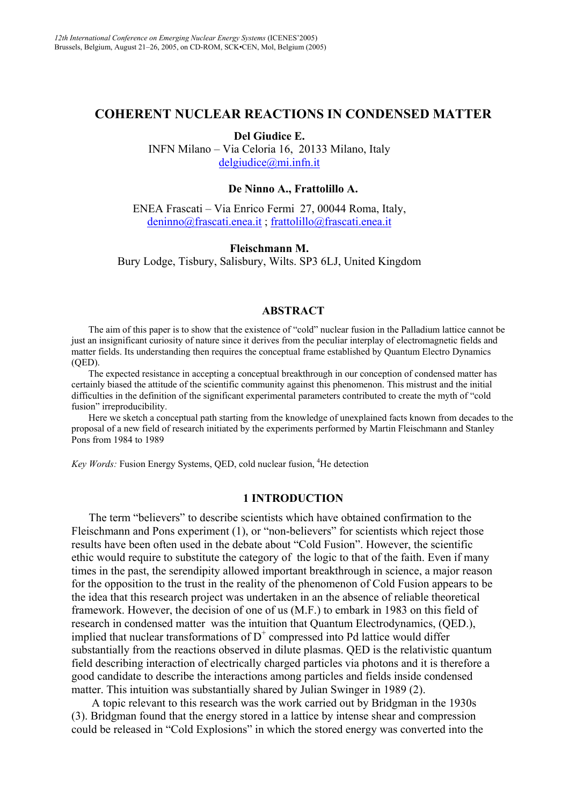# **COHERENT NUCLEAR REACTIONS IN CONDENSED MATTER**

**Del Giudice E.**

INFN Milano – Via Celoria 16, 20133 Milano, Italy [delgiudice@mi.infn.it](mailto:delgiudice@mi.infn.it)

### **De Ninno A., Frattolillo A.**

ENEA Frascati – Via Enrico Fermi 27, 00044 Roma, Italy, [deninno@frascati.enea.it](mailto:deninno@frascati.enea.it) ; [frattolillo@frascati.enea.it](mailto:frattolillo@frascati.enea.it)

## **Fleischmann M.**

Bury Lodge, Tisbury, Salisbury, Wilts. SP3 6LJ, United Kingdom

#### **ABSTRACT**

The aim of this paper is to show that the existence of "cold" nuclear fusion in the Palladium lattice cannot be just an insignificant curiosity of nature since it derives from the peculiar interplay of electromagnetic fields and matter fields. Its understanding then requires the conceptual frame established by Quantum Electro Dynamics (QED).

The expected resistance in accepting a conceptual breakthrough in our conception of condensed matter has certainly biased the attitude of the scientific community against this phenomenon. This mistrust and the initial difficulties in the definition of the significant experimental parameters contributed to create the myth of "cold fusion" irreproducibility.

Here we sketch a conceptual path starting from the knowledge of unexplained facts known from decades to the proposal of a new field of research initiated by the experiments performed by Martin Fleischmann and Stanley Pons from 1984 to 1989

Key Words: Fusion Energy Systems, QED, cold nuclear fusion, <sup>4</sup>He detection

### **1 INTRODUCTION**

The term "believers" to describe scientists which have obtained confirmation to the Fleischmann and Pons experiment (1), or "non-believers" for scientists which reject those results have been often used in the debate about "Cold Fusion". However, the scientific ethic would require to substitute the category of the logic to that of the faith. Even if many times in the past, the serendipity allowed important breakthrough in science, a major reason for the opposition to the trust in the reality of the phenomenon of Cold Fusion appears to be the idea that this research project was undertaken in an the absence of reliable theoretical framework. However, the decision of one of us (M.F.) to embark in 1983 on this field of research in condensed matter was the intuition that Quantum Electrodynamics, (QED.), implied that nuclear transformations of  $D^+$  compressed into Pd lattice would differ substantially from the reactions observed in dilute plasmas. QED is the relativistic quantum field describing interaction of electrically charged particles via photons and it is therefore a good candidate to describe the interactions among particles and fields inside condensed matter. This intuition was substantially shared by Julian Swinger in 1989 (2).

 A topic relevant to this research was the work carried out by Bridgman in the 1930s (3). Bridgman found that the energy stored in a lattice by intense shear and compression could be released in "Cold Explosions" in which the stored energy was converted into the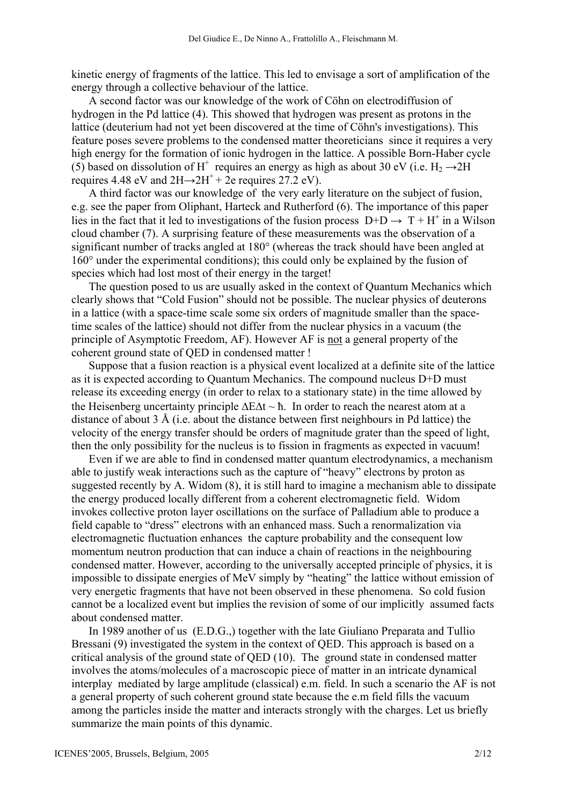kinetic energy of fragments of the lattice. This led to envisage a sort of amplification of the energy through a collective behaviour of the lattice.

A second factor was our knowledge of the work of Cöhn on electrodiffusion of hydrogen in the Pd lattice (4). This showed that hydrogen was present as protons in the lattice (deuterium had not yet been discovered at the time of Cöhn's investigations). This feature poses severe problems to the condensed matter theoreticians since it requires a very high energy for the formation of ionic hydrogen in the lattice. A possible Born-Haber cycle (5) based on dissolution of H<sup>+</sup> requires an energy as high as about 30 eV (i.e. H<sub>2</sub>  $\rightarrow$  2H requires 4.48 eV and  $2H\rightarrow 2H^+$  + 2e requires 27.2 eV).

A third factor was our knowledge of the very early literature on the subject of fusion, e.g. see the paper from Oliphant, Harteck and Rutherford (6). The importance of this paper lies in the fact that it led to investigations of the fusion process  $D+D \rightarrow T+H^+$  in a Wilson cloud chamber (7). A surprising feature of these measurements was the observation of a significant number of tracks angled at 180° (whereas the track should have been angled at 160° under the experimental conditions); this could only be explained by the fusion of species which had lost most of their energy in the target!

The question posed to us are usually asked in the context of Quantum Mechanics which clearly shows that "Cold Fusion" should not be possible. The nuclear physics of deuterons in a lattice (with a space-time scale some six orders of magnitude smaller than the spacetime scales of the lattice) should not differ from the nuclear physics in a vacuum (the principle of Asymptotic Freedom, AF). However AF is not a general property of the coherent ground state of QED in condensed matter !

Suppose that a fusion reaction is a physical event localized at a definite site of the lattice as it is expected according to Quantum Mechanics. The compound nucleus D+D must release its exceeding energy (in order to relax to a stationary state) in the time allowed by the Heisenberg uncertainty principle ∆E∆t ~ ħ. In order to reach the nearest atom at a distance of about 3 Å (i.e. about the distance between first neighbours in Pd lattice) the velocity of the energy transfer should be orders of magnitude grater than the speed of light, then the only possibility for the nucleus is to fission in fragments as expected in vacuum!

Even if we are able to find in condensed matter quantum electrodynamics, a mechanism able to justify weak interactions such as the capture of "heavy" electrons by proton as suggested recently by A. Widom (8), it is still hard to imagine a mechanism able to dissipate the energy produced locally different from a coherent electromagnetic field. Widom invokes collective proton layer oscillations on the surface of Palladium able to produce a field capable to "dress" electrons with an enhanced mass. Such a renormalization via electromagnetic fluctuation enhances the capture probability and the consequent low momentum neutron production that can induce a chain of reactions in the neighbouring condensed matter. However, according to the universally accepted principle of physics, it is impossible to dissipate energies of MeV simply by "heating" the lattice without emission of very energetic fragments that have not been observed in these phenomena. So cold fusion cannot be a localized event but implies the revision of some of our implicitly assumed facts about condensed matter.

In 1989 another of us (E.D.G.,) together with the late Giuliano Preparata and Tullio Bressani (9) investigated the system in the context of QED. This approach is based on a critical analysis of the ground state of QED (10). The ground state in condensed matter involves the atoms/molecules of a macroscopic piece of matter in an intricate dynamical interplay mediated by large amplitude (classical) e.m. field. In such a scenario the AF is not a general property of such coherent ground state because the e.m field fills the vacuum among the particles inside the matter and interacts strongly with the charges. Let us briefly summarize the main points of this dynamic.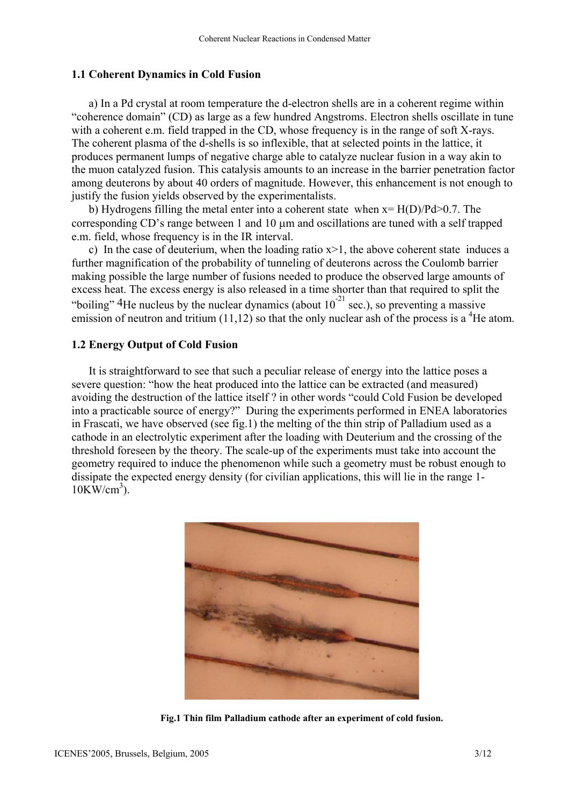#### **1.1 Coherent Dynamics in Cold Fusion**

a) In a Pd crystal at room temperature the d-electron shells are in a coherent regime within "coherence domain" (CD) as large as a few hundred Angstroms. Electron shells oscillate in tune with a coherent e.m. field trapped in the CD, whose frequency is in the range of soft X-rays. The coherent plasma of the d-shells is so inflexible, that at selected points in the lattice, it produces permanent lumps of negative charge able to catalyze nuclear fusion in a way akin to the muon catalyzed fusion. This catalysis amounts to an increase in the barrier penetration factor among deuterons by about 40 orders of magnitude. However, this enhancement is not enough to justify the fusion yields observed by the experimentalists.

b) Hydrogens filling the metal enter into a coherent state when  $x = H(D)/Pd > 0.7$ . The corresponding CD's range between 1 and 10 µm and oscillations are tuned with a self trapped e.m. field, whose frequency is in the IR interval.

c) In the case of deuterium, when the loading ratio  $x>1$ , the above coherent state induces a further magnification of the probability of tunneling of deuterons across the Coulomb barrier making possible the large number of fusions needed to produce the observed large amounts of excess heat. The excess energy is also released in a time shorter than that required to split the "boiling" <sup>4</sup>He nucleus by the nuclear dynamics (about  $10^{-21}$  sec.), so preventing a massive emission of neutron and tritium  $(11,12)$  so that the only nuclear ash of the process is a <sup>4</sup>He atom.

## **1.2 Energy Output of Cold Fusion**

It is straightforward to see that such a peculiar release of energy into the lattice poses a severe question: "how the heat produced into the lattice can be extracted (and measured) avoiding the destruction of the lattice itself ? in other words "could Cold Fusion be developed into a practicable source of energy?" During the experiments performed in ENEA laboratories in Frascati, we have observed (see fig.1) the melting of the thin strip of Palladium used as a cathode in an electrolytic experiment after the loading with Deuterium and the crossing of the threshold foreseen by the theory. The scale-up of the experiments must take into account the geometry required to induce the phenomenon while such a geometry must be robust enough to dissipate the expected energy density (for civilian applications, this will lie in the range 1-  $10$ KW/cm<sup>3</sup>).



**Fig.1 Thin film Palladium cathode after an experiment of cold fusion.**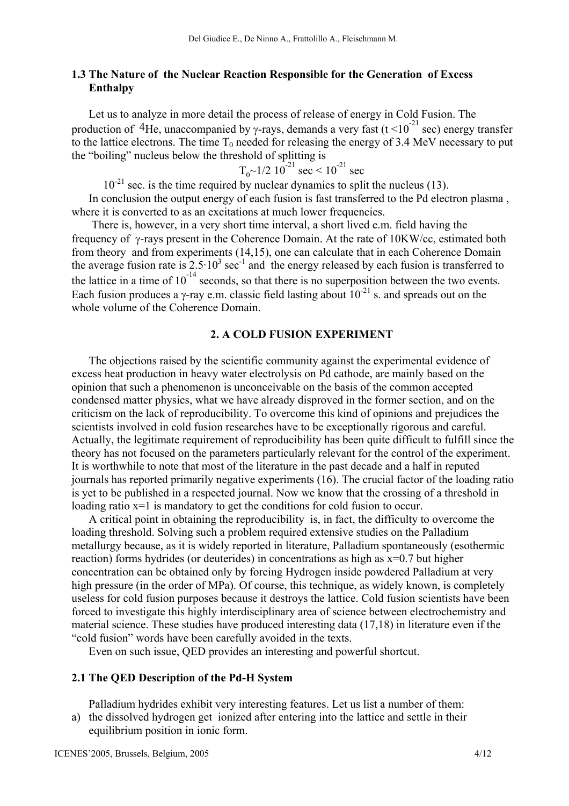## **1.3 The Nature of the Nuclear Reaction Responsible for the Generation of Excess Enthalpy**

Let us to analyze in more detail the process of release of energy in Cold Fusion. The production of <sup>4</sup>He, unaccompanied by γ-rays, demands a very fast (t <10<sup>-21</sup> sec) energy transfer to the lattice electrons. The time  $T_0$  needed for releasing the energy of 3.4 MeV necessary to put the "boiling" nucleus below the threshold of splitting is

$$
T_0
$$
~1/2 10<sup>-21</sup> sec < 10<sup>-21</sup> sec

 $10^{-21}$  sec. is the time required by nuclear dynamics to split the nucleus (13). In conclusion the output energy of each fusion is fast transferred to the Pd electron plasma , where it is converted to as an excitations at much lower frequencies.

 There is, however, in a very short time interval, a short lived e.m. field having the frequency of γ-rays present in the Coherence Domain. At the rate of 10KW/cc, estimated both from theory and from experiments (14,15), one can calculate that in each Coherence Domain the average fusion rate is  $2.5 \cdot 10^3$  sec<sup>-1</sup> and the energy released by each fusion is transferred to the lattice in a time of  $10^{-14}$  seconds, so that there is no superposition between the two events. Each fusion produces a  $\gamma$ -ray e.m. classic field lasting about  $10^{-21}$  s. and spreads out on the whole volume of the Coherence Domain.

### **2. A COLD FUSION EXPERIMENT**

The objections raised by the scientific community against the experimental evidence of excess heat production in heavy water electrolysis on Pd cathode, are mainly based on the opinion that such a phenomenon is unconceivable on the basis of the common accepted condensed matter physics, what we have already disproved in the former section, and on the criticism on the lack of reproducibility. To overcome this kind of opinions and prejudices the scientists involved in cold fusion researches have to be exceptionally rigorous and careful. Actually, the legitimate requirement of reproducibility has been quite difficult to fulfill since the theory has not focused on the parameters particularly relevant for the control of the experiment. It is worthwhile to note that most of the literature in the past decade and a half in reputed journals has reported primarily negative experiments (16). The crucial factor of the loading ratio is yet to be published in a respected journal. Now we know that the crossing of a threshold in loading ratio x=1 is mandatory to get the conditions for cold fusion to occur.

A critical point in obtaining the reproducibility is, in fact, the difficulty to overcome the loading threshold. Solving such a problem required extensive studies on the Palladium metallurgy because, as it is widely reported in literature, Palladium spontaneously (esothermic reaction) forms hydrides (or deuterides) in concentrations as high as x=0.7 but higher concentration can be obtained only by forcing Hydrogen inside powdered Palladium at very high pressure (in the order of MPa). Of course, this technique, as widely known, is completely useless for cold fusion purposes because it destroys the lattice. Cold fusion scientists have been forced to investigate this highly interdisciplinary area of science between electrochemistry and material science. These studies have produced interesting data (17,18) in literature even if the "cold fusion" words have been carefully avoided in the texts.

Even on such issue, QED provides an interesting and powerful shortcut.

## **2.1 The QED Description of the Pd-H System**

Palladium hydrides exhibit very interesting features. Let us list a number of them:

a) the dissolved hydrogen get ionized after entering into the lattice and settle in their equilibrium position in ionic form.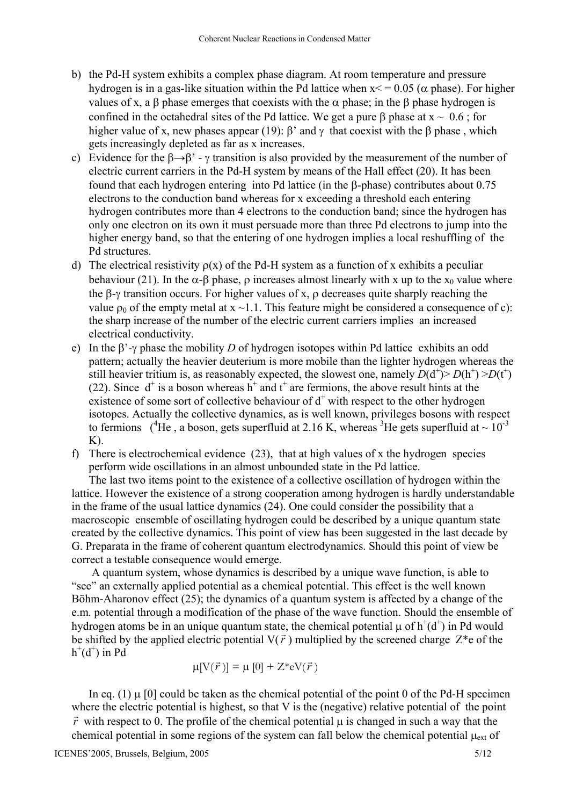- b) the Pd-H system exhibits a complex phase diagram. At room temperature and pressure hydrogen is in a gas-like situation within the Pd lattice when  $x \le 0.05$  ( $\alpha$  phase). For higher values of x, a  $\beta$  phase emerges that coexists with the  $\alpha$  phase; in the  $\beta$  phase hydrogen is confined in the octahedral sites of the Pd lattice. We get a pure  $\beta$  phase at  $x \sim 0.6$ ; for higher value of x, new phases appear (19):  $\beta'$  and  $\gamma$  that coexist with the  $\beta$  phase, which gets increasingly depleted as far as x increases.
- c) Evidence for the  $\beta \rightarrow \beta'$  γ transition is also provided by the measurement of the number of electric current carriers in the Pd-H system by means of the Hall effect (20). It has been found that each hydrogen entering into Pd lattice (in the β-phase) contributes about 0.75 electrons to the conduction band whereas for x exceeding a threshold each entering hydrogen contributes more than 4 electrons to the conduction band; since the hydrogen has only one electron on its own it must persuade more than three Pd electrons to jump into the higher energy band, so that the entering of one hydrogen implies a local reshuffling of the Pd structures.
- d) The electrical resistivity  $p(x)$  of the Pd-H system as a function of x exhibits a peculiar behaviour (21). In the  $\alpha$ -β phase, ρ increases almost linearly with x up to the x<sub>0</sub> value where the β-γ transition occurs. For higher values of x, ρ decreases quite sharply reaching the value  $\rho_0$  of the empty metal at  $x \sim 1.1$ . This feature might be considered a consequence of c): the sharp increase of the number of the electric current carriers implies an increased electrical conductivity.
- e) In the β'-γ phase the mobility *D* of hydrogen isotopes within Pd lattice exhibits an odd pattern; actually the heavier deuterium is more mobile than the lighter hydrogen whereas the still heavier tritium is, as reasonably expected, the slowest one, namely  $D(d^+)$  >  $D(h^+)$  >  $D(f^+)$ (22). Since  $d^+$  is a boson whereas  $h^+$  and  $t^+$  are fermions, the above result hints at the existence of some sort of collective behaviour of  $d^+$  with respect to the other hydrogen isotopes. Actually the collective dynamics, as is well known, privileges bosons with respect to fermions (<sup>4</sup>He, a boson, gets superfluid at 2.16 K, whereas <sup>3</sup>He gets superfluid at  $\sim 10^{-3}$  $K$ ).
- f) There is electrochemical evidence (23), that at high values of x the hydrogen species perform wide oscillations in an almost unbounded state in the Pd lattice.

The last two items point to the existence of a collective oscillation of hydrogen within the lattice. However the existence of a strong cooperation among hydrogen is hardly understandable in the frame of the usual lattice dynamics (24). One could consider the possibility that a macroscopic ensemble of oscillating hydrogen could be described by a unique quantum state created by the collective dynamics. This point of view has been suggested in the last decade by G. Preparata in the frame of coherent quantum electrodynamics. Should this point of view be correct a testable consequence would emerge.

A quantum system, whose dynamics is described by a unique wave function, is able to "see" an externally applied potential as a chemical potential. This effect is the well known Böhm-Aharonov effect (25); the dynamics of a quantum system is affected by a change of the e.m. potential through a modification of the phase of the wave function. Should the ensemble of hydrogen atoms be in an unique quantum state, the chemical potential  $\mu$  of  $h^+(d^+)$  in Pd would be shifted by the applied electric potential  $V(\vec{r})$  multiplied by the screened charge  $Z^*$ e of the  $h^+(d^+)$  in Pd

$$
\mu[V(\vec{r})] = \mu [0] + Z^* \mathrm{eV}(\vec{r})
$$

In eq. (1)  $\mu$  [0] could be taken as the chemical potential of the point 0 of the Pd-H specimen where the electric potential is highest, so that V is the (negative) relative potential of the point *r* r with respect to 0. The profile of the chemical potential µ is changed in such a way that the

chemical potential in some regions of the system can fall below the chemical potential  $\mu_{ext}$  of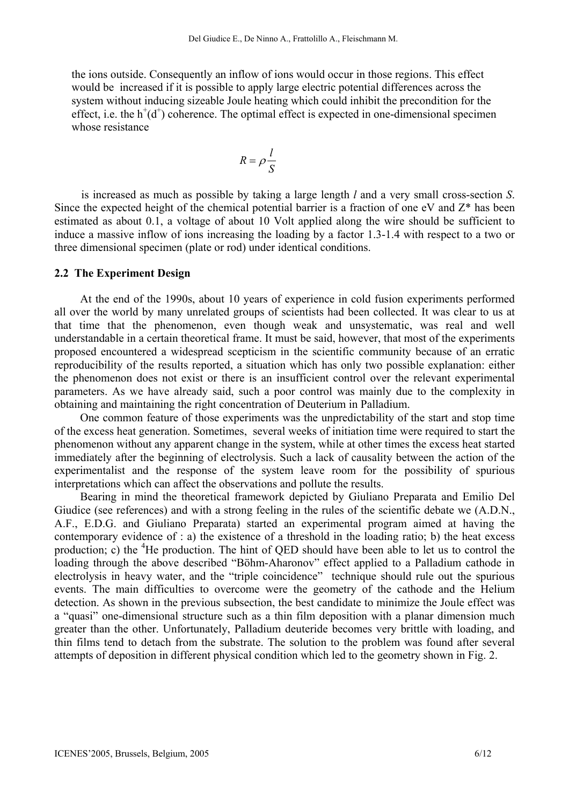the ions outside. Consequently an inflow of ions would occur in those regions. This effect would be increased if it is possible to apply large electric potential differences across the system without inducing sizeable Joule heating which could inhibit the precondition for the effect, i.e. the  $h^+(d^+)$  coherence. The optimal effect is expected in one-dimensional specimen whose resistance

$$
R = \rho \frac{l}{S}
$$

is increased as much as possible by taking a large length *l* and a very small cross-section *S*. Since the expected height of the chemical potential barrier is a fraction of one eV and  $Z^*$  has been estimated as about 0.1, a voltage of about 10 Volt applied along the wire should be sufficient to induce a massive inflow of ions increasing the loading by a factor 1.3-1.4 with respect to a two or three dimensional specimen (plate or rod) under identical conditions.

### **2.2 The Experiment Design**

At the end of the 1990s, about 10 years of experience in cold fusion experiments performed all over the world by many unrelated groups of scientists had been collected. It was clear to us at that time that the phenomenon, even though weak and unsystematic, was real and well understandable in a certain theoretical frame. It must be said, however, that most of the experiments proposed encountered a widespread scepticism in the scientific community because of an erratic reproducibility of the results reported, a situation which has only two possible explanation: either the phenomenon does not exist or there is an insufficient control over the relevant experimental parameters. As we have already said, such a poor control was mainly due to the complexity in obtaining and maintaining the right concentration of Deuterium in Palladium.

One common feature of those experiments was the unpredictability of the start and stop time of the excess heat generation. Sometimes, several weeks of initiation time were required to start the phenomenon without any apparent change in the system, while at other times the excess heat started immediately after the beginning of electrolysis. Such a lack of causality between the action of the experimentalist and the response of the system leave room for the possibility of spurious interpretations which can affect the observations and pollute the results.

Bearing in mind the theoretical framework depicted by Giuliano Preparata and Emilio Del Giudice (see references) and with a strong feeling in the rules of the scientific debate we (A.D.N., A.F., E.D.G. and Giuliano Preparata) started an experimental program aimed at having the contemporary evidence of : a) the existence of a threshold in the loading ratio; b) the heat excess production; c) the <sup>4</sup>He production. The hint of QED should have been able to let us to control the loading through the above described "Böhm-Aharonov" effect applied to a Palladium cathode in electrolysis in heavy water, and the "triple coincidence" technique should rule out the spurious events. The main difficulties to overcome were the geometry of the cathode and the Helium detection. As shown in the previous subsection, the best candidate to minimize the Joule effect was a "quasi" one-dimensional structure such as a thin film deposition with a planar dimension much greater than the other. Unfortunately, Palladium deuteride becomes very brittle with loading, and thin films tend to detach from the substrate. The solution to the problem was found after several attempts of deposition in different physical condition which led to the geometry shown in Fig. 2.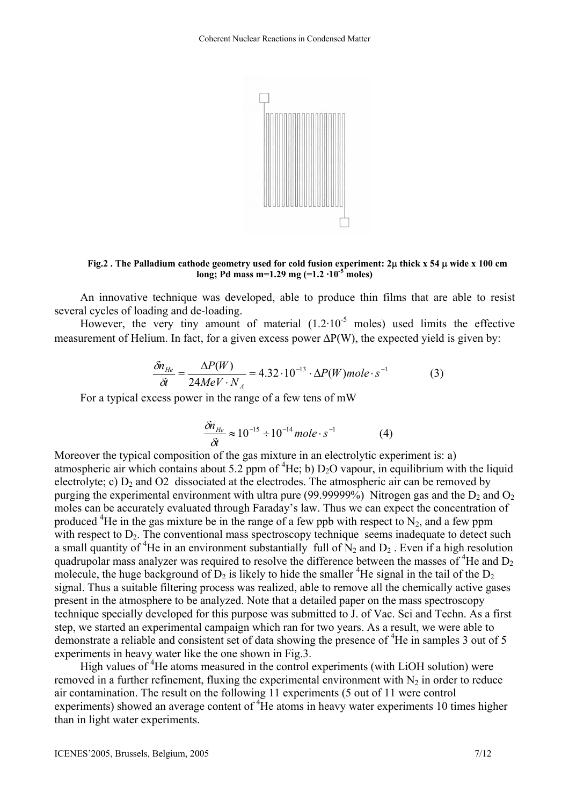

**Fig.2 . The Palladium cathode geometry used for cold fusion experiment: 2**µ **thick x 54** µ **wide x 100 cm long; Pd mass m=1.29 mg (=1.2 ·10-5 moles)** 

An innovative technique was developed, able to produce thin films that are able to resist several cycles of loading and de-loading.

However, the very tiny amount of material  $(1.2 \cdot 10^{-5}$  moles) used limits the effective measurement of Helium. In fact, for a given excess power ∆P(W), the expected yield is given by:

$$
\frac{\delta n_{He}}{\delta t} = \frac{\Delta P(W)}{24MeV \cdot N_A} = 4.32 \cdot 10^{-13} \cdot \Delta P(W) mole \cdot s^{-1}
$$
 (3)

For a typical excess power in the range of a few tens of mW

$$
\frac{\delta n_{He}}{\delta t} \approx 10^{-15} \div 10^{-14} \, mole \cdot s^{-1} \tag{4}
$$

Moreover the typical composition of the gas mixture in an electrolytic experiment is: a) atmospheric air which contains about 5.2 ppm of  ${}^{4}$ He; b) D<sub>2</sub>O vapour, in equilibrium with the liquid electrolyte; c)  $D_2$  and O2 dissociated at the electrodes. The atmospheric air can be removed by purging the experimental environment with ultra pure (99.99999%) Nitrogen gas and the  $D_2$  and  $O_2$ moles can be accurately evaluated through Faraday's law. Thus we can expect the concentration of produced <sup>4</sup>He in the gas mixture be in the range of a few ppb with respect to N<sub>2</sub>, and a few ppm with respect to  $D_2$ . The conventional mass spectroscopy technique seems inadequate to detect such a small quantity of <sup>4</sup>He in an environment substantially full of  $N_2$  and  $D_2$ . Even if a high resolution quadrupolar mass analyzer was required to resolve the difference between the masses of <sup>4</sup>He and  $D_2$ molecule, the huge background of  $D_2$  is likely to hide the smaller <sup>4</sup>He signal in the tail of the  $D_2$ signal. Thus a suitable filtering process was realized, able to remove all the chemically active gases present in the atmosphere to be analyzed. Note that a detailed paper on the mass spectroscopy technique specially developed for this purpose was submitted to J. of Vac. Sci and Techn. As a first step, we started an experimental campaign which ran for two years. As a result, we were able to demonstrate a reliable and consistent set of data showing the presence of <sup>4</sup>He in samples 3 out of 5 experiments in heavy water like the one shown in Fig.3.

High values of <sup>4</sup>He atoms measured in the control experiments (with LiOH solution) were removed in a further refinement, fluxing the experimental environment with  $N_2$  in order to reduce air contamination. The result on the following 11 experiments (5 out of 11 were control experiments) showed an average content of  ${}^{4}$ He atoms in heavy water experiments 10 times higher than in light water experiments.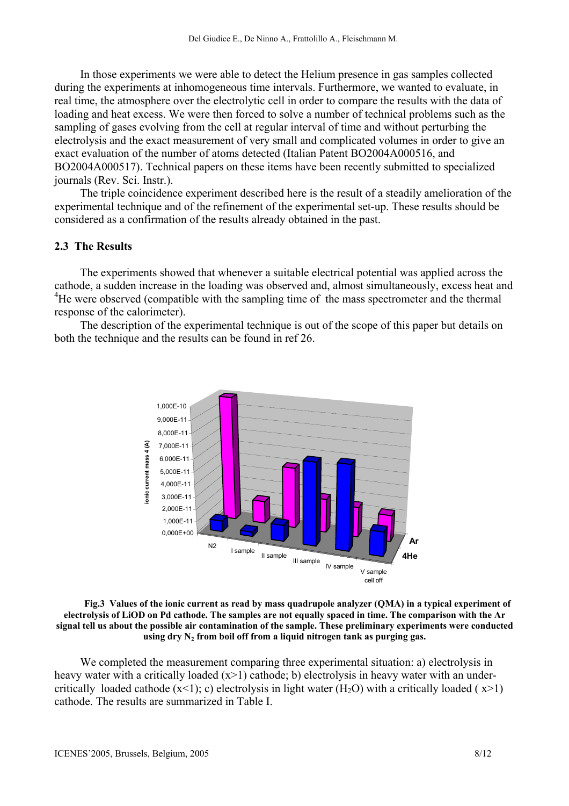In those experiments we were able to detect the Helium presence in gas samples collected during the experiments at inhomogeneous time intervals. Furthermore, we wanted to evaluate, in real time, the atmosphere over the electrolytic cell in order to compare the results with the data of loading and heat excess. We were then forced to solve a number of technical problems such as the sampling of gases evolving from the cell at regular interval of time and without perturbing the electrolysis and the exact measurement of very small and complicated volumes in order to give an exact evaluation of the number of atoms detected (Italian Patent BO2004A000516, and BO2004A000517). Technical papers on these items have been recently submitted to specialized journals (Rev. Sci. Instr.).

The triple coincidence experiment described here is the result of a steadily amelioration of the experimental technique and of the refinement of the experimental set-up. These results should be considered as a confirmation of the results already obtained in the past.

## **2.3 The Results**

The experiments showed that whenever a suitable electrical potential was applied across the cathode, a sudden increase in the loading was observed and, almost simultaneously, excess heat and <sup>4</sup>He were observed (compatible with the sampling time of the mass spectrometer and the thermal response of the calorimeter).

The description of the experimental technique is out of the scope of this paper but details on both the technique and the results can be found in ref 26.



**Fig.3 Values of the ionic current as read by mass quadrupole analyzer (QMA) in a typical experiment of electrolysis of LiOD on Pd cathode. The samples are not equally spaced in time. The comparison with the Ar signal tell us about the possible air contamination of the sample. These preliminary experiments were conducted**  using  $\text{dry N}_2$  from boil off from a liquid nitrogen tank as purging gas.

We completed the measurement comparing three experimental situation: a) electrolysis in heavy water with a critically loaded (x>1) cathode; b) electrolysis in heavy water with an undercritically loaded cathode  $(x<1)$ ; c) electrolysis in light water  $(H<sub>2</sub>O)$  with a critically loaded ( $x>1$ ) cathode. The results are summarized in Table I.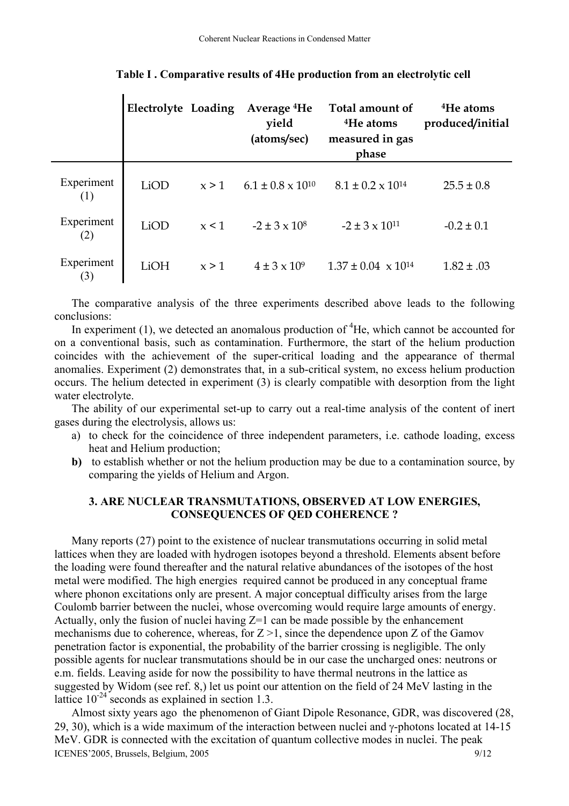|                   | Electrolyte Loading |       | Average <sup>4</sup> He<br>yield<br>(atoms/sec) | Total amount of<br><sup>4</sup> He atoms<br>measured in gas<br>phase | <sup>4</sup> He atoms<br>produced/initial |
|-------------------|---------------------|-------|-------------------------------------------------|----------------------------------------------------------------------|-------------------------------------------|
| Experiment<br>(1) | LiOD                | x > 1 | $6.1 \pm 0.8 \times 10^{10}$                    | $8.1 \pm 0.2 \times 10^{14}$                                         | $25.5 \pm 0.8$                            |
| Experiment<br>(2) | LiOD                | x < 1 | $-2 \pm 3 \times 10^8$                          | $-2 \pm 3 \times 10^{11}$                                            | $-0.2 \pm 0.1$                            |
| Experiment<br>(3) | LiOH                | x > 1 | $4 \pm 3 \times 10^9$                           | $1.37 \pm 0.04 \times 10^{14}$                                       | $1.82 \pm .03$                            |

#### **Table I . Comparative results of 4He production from an electrolytic cell**

The comparative analysis of the three experiments described above leads to the following conclusions:

In experiment  $(1)$ , we detected an anomalous production of  ${}^{4}$ He, which cannot be accounted for on a conventional basis, such as contamination. Furthermore, the start of the helium production coincides with the achievement of the super-critical loading and the appearance of thermal anomalies. Experiment (2) demonstrates that, in a sub-critical system, no excess helium production occurs. The helium detected in experiment (3) is clearly compatible with desorption from the light water electrolyte.

The ability of our experimental set-up to carry out a real-time analysis of the content of inert gases during the electrolysis, allows us:

- a) to check for the coincidence of three independent parameters, i.e. cathode loading, excess heat and Helium production;
- **b)** to establish whether or not the helium production may be due to a contamination source, by comparing the yields of Helium and Argon.

## **3. ARE NUCLEAR TRANSMUTATIONS, OBSERVED AT LOW ENERGIES, CONSEQUENCES OF QED COHERENCE ?**

Many reports (27) point to the existence of nuclear transmutations occurring in solid metal lattices when they are loaded with hydrogen isotopes beyond a threshold. Elements absent before the loading were found thereafter and the natural relative abundances of the isotopes of the host metal were modified. The high energies required cannot be produced in any conceptual frame where phonon excitations only are present. A major conceptual difficulty arises from the large Coulomb barrier between the nuclei, whose overcoming would require large amounts of energy. Actually, only the fusion of nuclei having  $Z=1$  can be made possible by the enhancement mechanisms due to coherence, whereas, for  $Z > 1$ , since the dependence upon Z of the Gamov penetration factor is exponential, the probability of the barrier crossing is negligible. The only possible agents for nuclear transmutations should be in our case the uncharged ones: neutrons or e.m. fields. Leaving aside for now the possibility to have thermal neutrons in the lattice as suggested by Widom (see ref. 8,) let us point our attention on the field of 24 MeV lasting in the lattice  $10^{-24}$  seconds as explained in section 1.3.

ICENES'2005, Brussels, Belgium, 2005 9/12 Almost sixty years ago the phenomenon of Giant Dipole Resonance, GDR, was discovered (28, 29, 30), which is a wide maximum of the interaction between nuclei and  $\gamma$ -photons located at 14-15 MeV. GDR is connected with the excitation of quantum collective modes in nuclei. The peak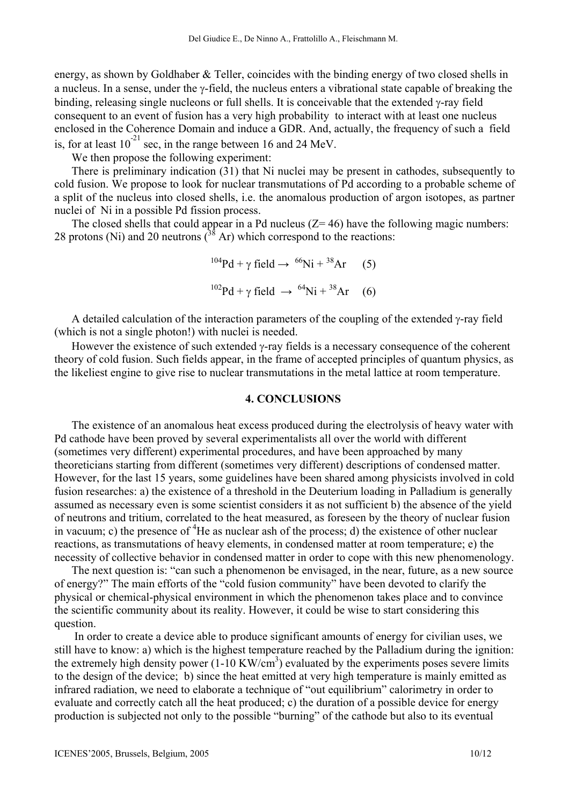energy, as shown by Goldhaber & Teller, coincides with the binding energy of two closed shells in a nucleus. In a sense, under the γ-field, the nucleus enters a vibrational state capable of breaking the binding, releasing single nucleons or full shells. It is conceivable that the extended γ-ray field consequent to an event of fusion has a very high probability to interact with at least one nucleus enclosed in the Coherence Domain and induce a GDR. And, actually, the frequency of such a field is, for at least  $10^{-21}$  sec, in the range between 16 and 24 MeV.

We then propose the following experiment:

There is preliminary indication (31) that Ni nuclei may be present in cathodes, subsequently to cold fusion. We propose to look for nuclear transmutations of Pd according to a probable scheme of a split of the nucleus into closed shells, i.e. the anomalous production of argon isotopes, as partner nuclei of Ni in a possible Pd fission process.

The closed shells that could appear in a Pd nucleus  $(Z= 46)$  have the following magic numbers: 28 protons (Ni) and 20 neutrons  $\binom{38}{3}$  Ar) which correspond to the reactions:

$$
{}^{104}\text{Pd} + \gamma \text{ field} \rightarrow {}^{66}\text{Ni} + {}^{38}\text{Ar} \quad (5)
$$

$$
{}^{102}\text{Pd} + \gamma \text{ field} \rightarrow {}^{64}\text{Ni} + {}^{38}\text{Ar} \quad (6)
$$

A detailed calculation of the interaction parameters of the coupling of the extended γ-ray field (which is not a single photon!) with nuclei is needed.

However the existence of such extended γ-ray fields is a necessary consequence of the coherent theory of cold fusion. Such fields appear, in the frame of accepted principles of quantum physics, as the likeliest engine to give rise to nuclear transmutations in the metal lattice at room temperature.

### **4. CONCLUSIONS**

The existence of an anomalous heat excess produced during the electrolysis of heavy water with Pd cathode have been proved by several experimentalists all over the world with different (sometimes very different) experimental procedures, and have been approached by many theoreticians starting from different (sometimes very different) descriptions of condensed matter. However, for the last 15 years, some guidelines have been shared among physicists involved in cold fusion researches: a) the existence of a threshold in the Deuterium loading in Palladium is generally assumed as necessary even is some scientist considers it as not sufficient b) the absence of the yield of neutrons and tritium, correlated to the heat measured, as foreseen by the theory of nuclear fusion in vacuum; c) the presence of  ${}^{4}$ He as nuclear ash of the process; d) the existence of other nuclear reactions, as transmutations of heavy elements, in condensed matter at room temperature; e) the necessity of collective behavior in condensed matter in order to cope with this new phenomenology.

The next question is: "can such a phenomenon be envisaged, in the near, future, as a new source of energy?" The main efforts of the "cold fusion community" have been devoted to clarify the physical or chemical-physical environment in which the phenomenon takes place and to convince the scientific community about its reality. However, it could be wise to start considering this question.

 In order to create a device able to produce significant amounts of energy for civilian uses, we still have to know: a) which is the highest temperature reached by the Palladium during the ignition: the extremely high density power  $(1\t{-}10 \text{ KW/cm}^3)$  evaluated by the experiments poses severe limits to the design of the device; b) since the heat emitted at very high temperature is mainly emitted as infrared radiation, we need to elaborate a technique of "out equilibrium" calorimetry in order to evaluate and correctly catch all the heat produced; c) the duration of a possible device for energy production is subjected not only to the possible "burning" of the cathode but also to its eventual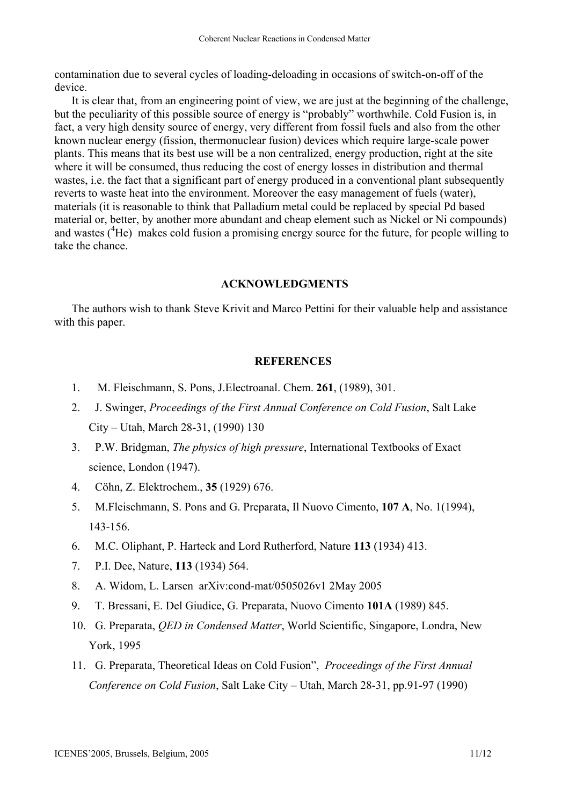contamination due to several cycles of loading-deloading in occasions of switch-on-off of the device.

It is clear that, from an engineering point of view, we are just at the beginning of the challenge, but the peculiarity of this possible source of energy is "probably" worthwhile. Cold Fusion is, in fact, a very high density source of energy, very different from fossil fuels and also from the other known nuclear energy (fission, thermonuclear fusion) devices which require large-scale power plants. This means that its best use will be a non centralized, energy production, right at the site where it will be consumed, thus reducing the cost of energy losses in distribution and thermal wastes, i.e. the fact that a significant part of energy produced in a conventional plant subsequently reverts to waste heat into the environment. Moreover the easy management of fuels (water), materials (it is reasonable to think that Palladium metal could be replaced by special Pd based material or, better, by another more abundant and cheap element such as Nickel or Ni compounds) and wastes (<sup>4</sup>He) makes cold fusion a promising energy source for the future, for people willing to take the chance.

## **ACKNOWLEDGMENTS**

The authors wish to thank Steve Krivit and Marco Pettini for their valuable help and assistance with this paper.

### **REFERENCES**

- 1. M. Fleischmann, S. Pons, J.Electroanal. Chem. **261**, (1989), 301.
- 2. J. Swinger, *Proceedings of the First Annual Conference on Cold Fusion*, Salt Lake City – Utah, March 28-31, (1990) 130
- 3. P.W. Bridgman, *The physics of high pressure*, International Textbooks of Exact science, London (1947).
- 4. Cöhn, Z. Elektrochem., **35** (1929) 676.
- 5. M.Fleischmann, S. Pons and G. Preparata, Il Nuovo Cimento, **107 A**, No. 1(1994), 143-156.
- 6. M.C. Oliphant, P. Harteck and Lord Rutherford, Nature **113** (1934) 413.
- 7. P.I. Dee, Nature, **113** (1934) 564.
- 8. A. Widom, L. Larsen arXiv:cond-mat/0505026v1 2May 2005
- 9. T. Bressani, E. Del Giudice, G. Preparata, Nuovo Cimento **101A** (1989) 845.
- 10. G. Preparata, *QED in Condensed Matter*, World Scientific, Singapore, Londra, New York, 1995
- 11. G. Preparata, Theoretical Ideas on Cold Fusion", *Proceedings of the First Annual Conference on Cold Fusion*, Salt Lake City – Utah, March 28-31, pp.91-97 (1990)